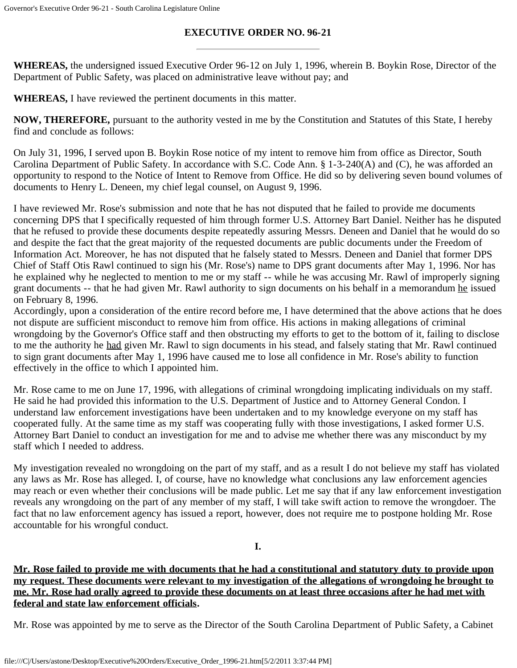# **EXECUTIVE ORDER NO. 96-21**

**WHEREAS,** the undersigned issued Executive Order 96-12 on July 1, 1996, wherein B. Boykin Rose, Director of the Department of Public Safety, was placed on administrative leave without pay; and

**WHEREAS,** I have reviewed the pertinent documents in this matter.

**NOW, THEREFORE,** pursuant to the authority vested in me by the Constitution and Statutes of this State, I hereby find and conclude as follows:

On July 31, 1996, I served upon B. Boykin Rose notice of my intent to remove him from office as Director, South Carolina Department of Public Safety. In accordance with S.C. Code Ann. § 1-3-240(A) and (C), he was afforded an opportunity to respond to the Notice of Intent to Remove from Office. He did so by delivering seven bound volumes of documents to Henry L. Deneen, my chief legal counsel, on August 9, 1996.

I have reviewed Mr. Rose's submission and note that he has not disputed that he failed to provide me documents concerning DPS that I specifically requested of him through former U.S. Attorney Bart Daniel. Neither has he disputed that he refused to provide these documents despite repeatedly assuring Messrs. Deneen and Daniel that he would do so and despite the fact that the great majority of the requested documents are public documents under the Freedom of Information Act. Moreover, he has not disputed that he falsely stated to Messrs. Deneen and Daniel that former DPS Chief of Staff Otis Rawl continued to sign his (Mr. Rose's) name to DPS grant documents after May 1, 1996. Nor has he explained why he neglected to mention to me or my staff -- while he was accusing Mr. Rawl of improperly signing grant documents -- that he had given Mr. Rawl authority to sign documents on his behalf in a memorandum he issued on February 8, 1996.

Accordingly, upon a consideration of the entire record before me, I have determined that the above actions that he does not dispute are sufficient misconduct to remove him from office. His actions in making allegations of criminal wrongdoing by the Governor's Office staff and then obstructing my efforts to get to the bottom of it, failing to disclose to me the authority he had given Mr. Rawl to sign documents in his stead, and falsely stating that Mr. Rawl continued to sign grant documents after May 1, 1996 have caused me to lose all confidence in Mr. Rose's ability to function effectively in the office to which I appointed him.

Mr. Rose came to me on June 17, 1996, with allegations of criminal wrongdoing implicating individuals on my staff. He said he had provided this information to the U.S. Department of Justice and to Attorney General Condon. I understand law enforcement investigations have been undertaken and to my knowledge everyone on my staff has cooperated fully. At the same time as my staff was cooperating fully with those investigations, I asked former U.S. Attorney Bart Daniel to conduct an investigation for me and to advise me whether there was any misconduct by my staff which I needed to address.

My investigation revealed no wrongdoing on the part of my staff, and as a result I do not believe my staff has violated any laws as Mr. Rose has alleged. I, of course, have no knowledge what conclusions any law enforcement agencies may reach or even whether their conclusions will be made public. Let me say that if any law enforcement investigation reveals any wrongdoing on the part of any member of my staff, I will take swift action to remove the wrongdoer. The fact that no law enforcement agency has issued a report, however, does not require me to postpone holding Mr. Rose accountable for his wrongful conduct.

**I.**

**Mr. Rose failed to provide me with documents that he had a constitutional and statutory duty to provide upon my request. These documents were relevant to my investigation of the allegations of wrongdoing he brought to me. Mr. Rose had orally agreed to provide these documents on at least three occasions after he had met with federal and state law enforcement officials.**

Mr. Rose was appointed by me to serve as the Director of the South Carolina Department of Public Safety, a Cabinet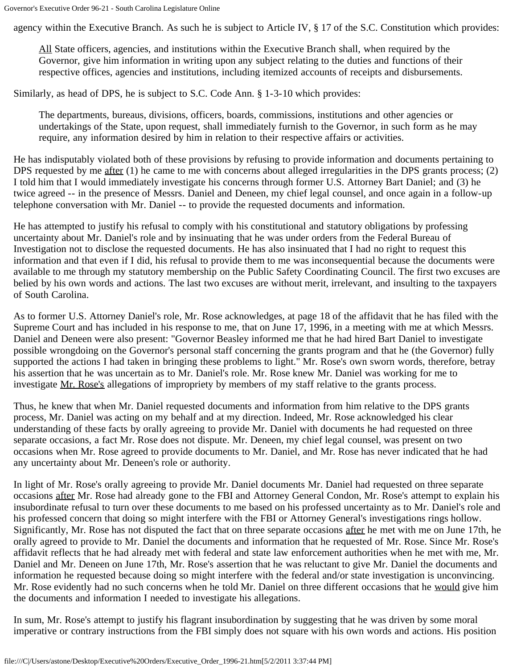agency within the Executive Branch. As such he is subject to Article IV, § 17 of the S.C. Constitution which provides:

All State officers, agencies, and institutions within the Executive Branch shall, when required by the Governor, give him information in writing upon any subject relating to the duties and functions of their respective offices, agencies and institutions, including itemized accounts of receipts and disbursements.

Similarly, as head of DPS, he is subject to S.C. Code Ann. § 1-3-10 which provides:

The departments, bureaus, divisions, officers, boards, commissions, institutions and other agencies or undertakings of the State, upon request, shall immediately furnish to the Governor, in such form as he may require, any information desired by him in relation to their respective affairs or activities.

He has indisputably violated both of these provisions by refusing to provide information and documents pertaining to DPS requested by me after (1) he came to me with concerns about alleged irregularities in the DPS grants process; (2) I told him that I would immediately investigate his concerns through former U.S. Attorney Bart Daniel; and (3) he twice agreed -- in the presence of Messrs. Daniel and Deneen, my chief legal counsel, and once again in a follow-up telephone conversation with Mr. Daniel -- to provide the requested documents and information.

He has attempted to justify his refusal to comply with his constitutional and statutory obligations by professing uncertainty about Mr. Daniel's role and by insinuating that he was under orders from the Federal Bureau of Investigation not to disclose the requested documents. He has also insinuated that I had no right to request this information and that even if I did, his refusal to provide them to me was inconsequential because the documents were available to me through my statutory membership on the Public Safety Coordinating Council. The first two excuses are belied by his own words and actions. The last two excuses are without merit, irrelevant, and insulting to the taxpayers of South Carolina.

As to former U.S. Attorney Daniel's role, Mr. Rose acknowledges, at page 18 of the affidavit that he has filed with the Supreme Court and has included in his response to me, that on June 17, 1996, in a meeting with me at which Messrs. Daniel and Deneen were also present: "Governor Beasley informed me that he had hired Bart Daniel to investigate possible wrongdoing on the Governor's personal staff concerning the grants program and that he (the Governor) fully supported the actions I had taken in bringing these problems to light." Mr. Rose's own sworn words, therefore, betray his assertion that he was uncertain as to Mr. Daniel's role. Mr. Rose knew Mr. Daniel was working for me to investigate Mr. Rose's allegations of impropriety by members of my staff relative to the grants process.

Thus, he knew that when Mr. Daniel requested documents and information from him relative to the DPS grants process, Mr. Daniel was acting on my behalf and at my direction. Indeed, Mr. Rose acknowledged his clear understanding of these facts by orally agreeing to provide Mr. Daniel with documents he had requested on three separate occasions, a fact Mr. Rose does not dispute. Mr. Deneen, my chief legal counsel, was present on two occasions when Mr. Rose agreed to provide documents to Mr. Daniel, and Mr. Rose has never indicated that he had any uncertainty about Mr. Deneen's role or authority.

In light of Mr. Rose's orally agreeing to provide Mr. Daniel documents Mr. Daniel had requested on three separate occasions after Mr. Rose had already gone to the FBI and Attorney General Condon, Mr. Rose's attempt to explain his insubordinate refusal to turn over these documents to me based on his professed uncertainty as to Mr. Daniel's role and his professed concern that doing so might interfere with the FBI or Attorney General's investigations rings hollow. Significantly, Mr. Rose has not disputed the fact that on three separate occasions after he met with me on June 17th, he orally agreed to provide to Mr. Daniel the documents and information that he requested of Mr. Rose. Since Mr. Rose's affidavit reflects that he had already met with federal and state law enforcement authorities when he met with me, Mr. Daniel and Mr. Deneen on June 17th, Mr. Rose's assertion that he was reluctant to give Mr. Daniel the documents and information he requested because doing so might interfere with the federal and/or state investigation is unconvincing. Mr. Rose evidently had no such concerns when he told Mr. Daniel on three different occasions that he would give him the documents and information I needed to investigate his allegations.

In sum, Mr. Rose's attempt to justify his flagrant insubordination by suggesting that he was driven by some moral imperative or contrary instructions from the FBI simply does not square with his own words and actions. His position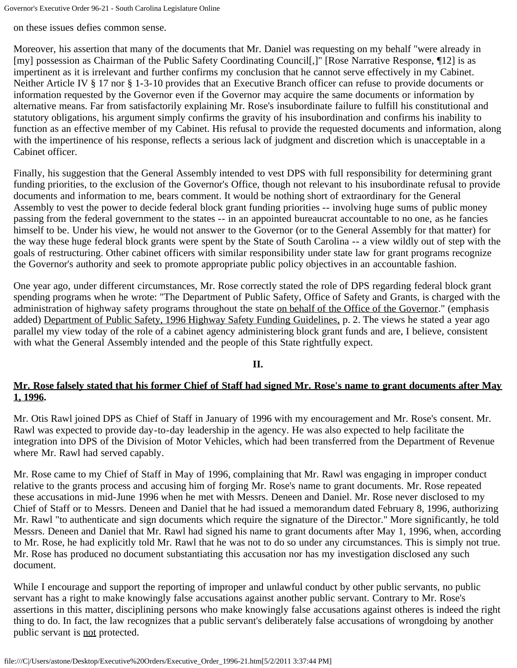Governor's Executive Order 96-21 - South Carolina Legislature Online

on these issues defies common sense.

Moreover, his assertion that many of the documents that Mr. Daniel was requesting on my behalf "were already in [my] possession as Chairman of the Public Safety Coordinating Council[,]" [Rose Narrative Response, ¶12] is as impertinent as it is irrelevant and further confirms my conclusion that he cannot serve effectively in my Cabinet. Neither Article IV § 17 nor § 1-3-10 provides that an Executive Branch officer can refuse to provide documents or information requested by the Governor even if the Governor may acquire the same documents or information by alternative means. Far from satisfactorily explaining Mr. Rose's insubordinate failure to fulfill his constitutional and statutory obligations, his argument simply confirms the gravity of his insubordination and confirms his inability to function as an effective member of my Cabinet. His refusal to provide the requested documents and information, along with the impertinence of his response, reflects a serious lack of judgment and discretion which is unacceptable in a Cabinet officer.

Finally, his suggestion that the General Assembly intended to vest DPS with full responsibility for determining grant funding priorities, to the exclusion of the Governor's Office, though not relevant to his insubordinate refusal to provide documents and information to me, bears comment. It would be nothing short of extraordinary for the General Assembly to vest the power to decide federal block grant funding priorities -- involving huge sums of public money passing from the federal government to the states -- in an appointed bureaucrat accountable to no one, as he fancies himself to be. Under his view, he would not answer to the Governor (or to the General Assembly for that matter) for the way these huge federal block grants were spent by the State of South Carolina -- a view wildly out of step with the goals of restructuring. Other cabinet officers with similar responsibility under state law for grant programs recognize the Governor's authority and seek to promote appropriate public policy objectives in an accountable fashion.

One year ago, under different circumstances, Mr. Rose correctly stated the role of DPS regarding federal block grant spending programs when he wrote: "The Department of Public Safety, Office of Safety and Grants, is charged with the administration of highway safety programs throughout the state on behalf of the Office of the Governor." (emphasis added) Department of Public Safety, 1996 Highway Safety Funding Guidelines, p. 2. The views he stated a year ago parallel my view today of the role of a cabinet agency administering block grant funds and are, I believe, consistent with what the General Assembly intended and the people of this State rightfully expect.

### **II.**

### **Mr. Rose falsely stated that his former Chief of Staff had signed Mr. Rose's name to grant documents after May 1, 1996.**

Mr. Otis Rawl joined DPS as Chief of Staff in January of 1996 with my encouragement and Mr. Rose's consent. Mr. Rawl was expected to provide day-to-day leadership in the agency. He was also expected to help facilitate the integration into DPS of the Division of Motor Vehicles, which had been transferred from the Department of Revenue where Mr. Rawl had served capably.

Mr. Rose came to my Chief of Staff in May of 1996, complaining that Mr. Rawl was engaging in improper conduct relative to the grants process and accusing him of forging Mr. Rose's name to grant documents. Mr. Rose repeated these accusations in mid-June 1996 when he met with Messrs. Deneen and Daniel. Mr. Rose never disclosed to my Chief of Staff or to Messrs. Deneen and Daniel that he had issued a memorandum dated February 8, 1996, authorizing Mr. Rawl "to authenticate and sign documents which require the signature of the Director." More significantly, he told Messrs. Deneen and Daniel that Mr. Rawl had signed his name to grant documents after May 1, 1996, when, according to Mr. Rose, he had explicitly told Mr. Rawl that he was not to do so under any circumstances. This is simply not true. Mr. Rose has produced no document substantiating this accusation nor has my investigation disclosed any such document.

While I encourage and support the reporting of improper and unlawful conduct by other public servants, no public servant has a right to make knowingly false accusations against another public servant. Contrary to Mr. Rose's assertions in this matter, disciplining persons who make knowingly false accusations against otheres is indeed the right thing to do. In fact, the law recognizes that a public servant's deliberately false accusations of wrongdoing by another public servant is not protected.